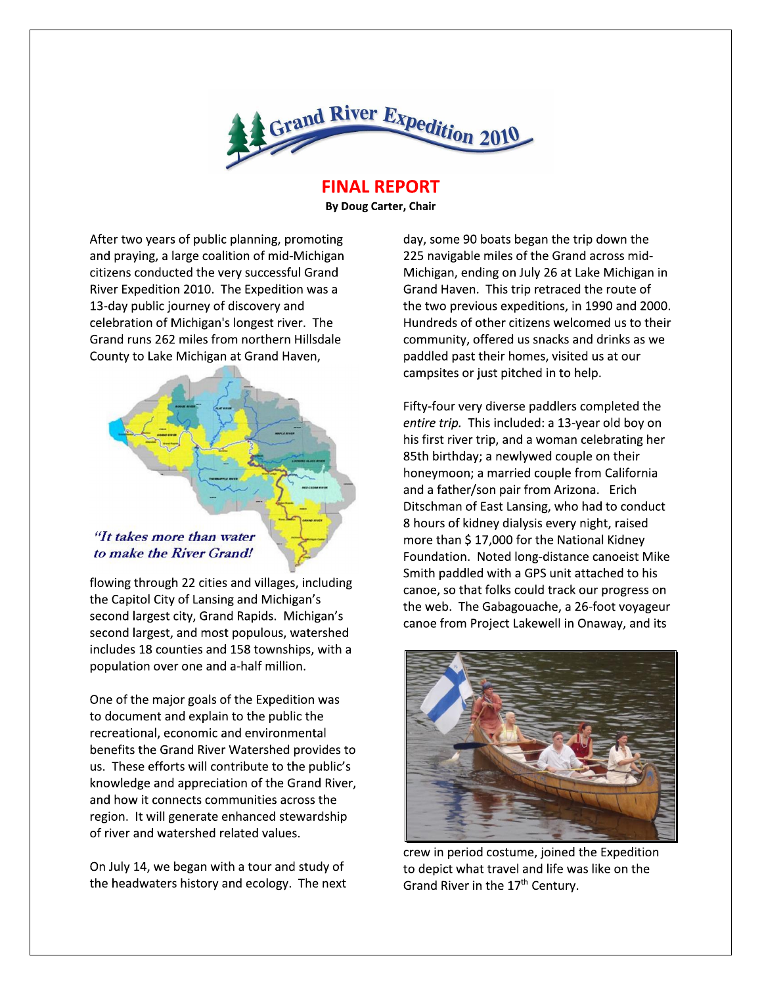

**FINAL REPORT** 

**By Doug Carter, Chair** 

After two years of public planning, promoting and praying, a large coalition of mid-Michigan citizens conducted the very successful Grand River Expedition 2010. The Expedition was a 13-day public journey of discovery and celebration of Michigan's longest river. The Grand runs 262 miles from northern Hillsdale County to Lake Michigan at Grand Haven,



flowing through 22 cities and villages, including the Capitol City of Lansing and Michigan's second largest city, Grand Rapids. Michigan's second largest, and most populous, watershed includes 18 counties and 158 townships, with a population over one and a-half million.

One of the major goals of the Expedition was to document and explain to the public the recreational, economic and environmental benefits the Grand River Watershed provides to us. These efforts will contribute to the public's knowledge and appreciation of the Grand River, and how it connects communities across the region. It will generate enhanced stewardship of river and watershed related values.

On July 14, we began with a tour and study of the headwaters history and ecology. The next

day, some 90 boats began the trip down the 225 navigable miles of the Grand across mid-Michigan, ending on July 26 at Lake Michigan in Grand Haven. This trip retraced the route of the two previous expeditions, in 1990 and 2000. Hundreds of other citizens welcomed us to their community, offered us snacks and drinks as we paddled past their homes, visited us at our campsites or just pitched in to help.

Fifty-four very diverse paddlers completed the entire trip. This included: a 13-year old boy on his first river trip, and a woman celebrating her 85th birthday; a newlywed couple on their honeymoon; a married couple from California and a father/son pair from Arizona. Erich Ditschman of East Lansing, who had to conduct 8 hours of kidney dialysis every night, raised more than \$17,000 for the National Kidney Foundation. Noted long-distance canoeist Mike Smith paddled with a GPS unit attached to his canoe, so that folks could track our progress on the web. The Gabagouache, a 26-foot voyageur canoe from Project Lakewell in Onaway, and its



crew in period costume, joined the Expedition to depict what travel and life was like on the Grand River in the 17<sup>th</sup> Century.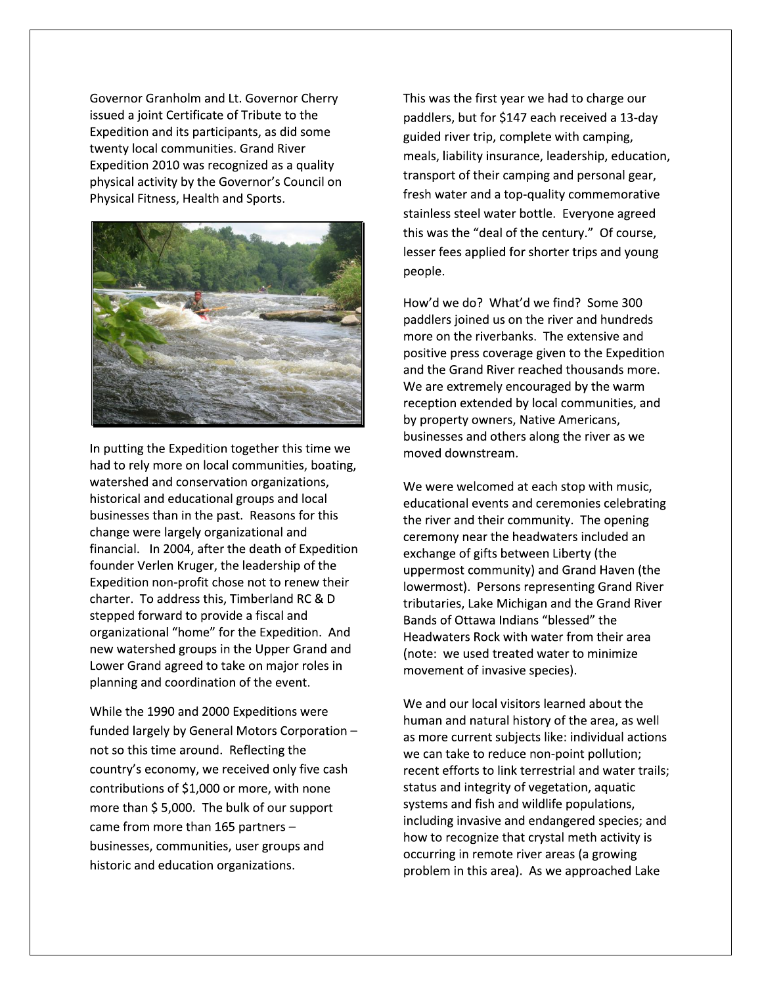Governor Granholm and Lt. Governor Cherry issued a joint Certificate of Tribute to the Expedition and its participants, as did some twenty local communities. Grand River Expedition 2010 was recognized as a quality physical activity by the Governor's Council on Physical Fitness, Health and Sports.



In putting the Expedition together this time we had to rely more on local communities, boating, watershed and conservation organizations, historical and educational groups and local businesses than in the past. Reasons for this change were largely organizational and financial. In 2004, after the death of Expedition founder Verlen Kruger, the leadership of the Expedition non-profit chose not to renew their charter. To address this, Timberland RC & D stepped forward to provide a fiscal and organizational "home" for the Expedition. And new watershed groups in the Upper Grand and Lower Grand agreed to take on major roles in planning and coordination of the event.

While the 1990 and 2000 Expeditions were funded largely by General Motors Corporation not so this time around. Reflecting the country's economy, we received only five cash contributions of \$1,000 or more, with none more than \$5,000. The bulk of our support came from more than 165 partners businesses, communities, user groups and historic and education organizations.

This was the first year we had to charge our paddlers, but for \$147 each received a 13-day guided river trip, complete with camping, meals, liability insurance, leadership, education, transport of their camping and personal gear, fresh water and a top-quality commemorative stainless steel water bottle. Everyone agreed this was the "deal of the century." Of course, lesser fees applied for shorter trips and young people.

How'd we do? What'd we find? Some 300 paddlers joined us on the river and hundreds more on the riverbanks. The extensive and positive press coverage given to the Expedition and the Grand River reached thousands more. We are extremely encouraged by the warm reception extended by local communities, and by property owners, Native Americans, businesses and others along the river as we moved downstream.

We were welcomed at each stop with music, educational events and ceremonies celebrating the river and their community. The opening ceremony near the headwaters included an exchange of gifts between Liberty (the uppermost community) and Grand Haven (the lowermost). Persons representing Grand River tributaries, Lake Michigan and the Grand River Bands of Ottawa Indians "blessed" the Headwaters Rock with water from their area (note: we used treated water to minimize movement of invasive species).

We and our local visitors learned about the human and natural history of the area, as well as more current subjects like: individual actions we can take to reduce non-point pollution; recent efforts to link terrestrial and water trails; status and integrity of vegetation, aquatic systems and fish and wildlife populations, including invasive and endangered species; and how to recognize that crystal meth activity is occurring in remote river areas (a growing problem in this area). As we approached Lake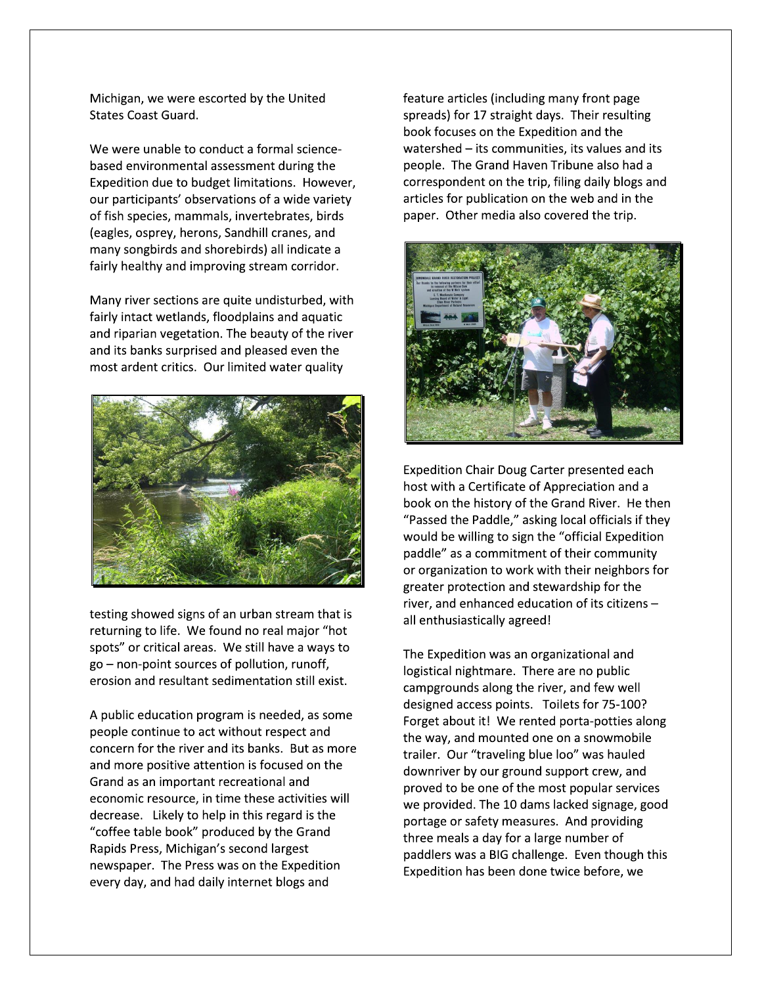Michigan, we were escorted by the United **States Coast Guard.** 

We were unable to conduct a formal sciencebased environmental assessment during the Expedition due to budget limitations. However, our participants' observations of a wide variety of fish species, mammals, invertebrates, birds (eagles, osprey, herons, Sandhill cranes, and many songbirds and shorebirds) all indicate a fairly healthy and improving stream corridor.

Many river sections are quite undisturbed, with fairly intact wetlands, floodplains and aquatic and riparian vegetation. The beauty of the river and its banks surprised and pleased even the most ardent critics. Our limited water quality



testing showed signs of an urban stream that is returning to life. We found no real major "hot spots" or critical areas. We still have a ways to go - non-point sources of pollution, runoff, erosion and resultant sedimentation still exist.

A public education program is needed, as some people continue to act without respect and concern for the river and its banks. But as more and more positive attention is focused on the Grand as an important recreational and economic resource, in time these activities will decrease. Likely to help in this regard is the "coffee table book" produced by the Grand Rapids Press, Michigan's second largest newspaper. The Press was on the Expedition every day, and had daily internet blogs and

feature articles (including many front page spreads) for 17 straight days. Their resulting book focuses on the Expedition and the watershed - its communities, its values and its people. The Grand Haven Tribune also had a correspondent on the trip, filing daily blogs and articles for publication on the web and in the paper. Other media also covered the trip.



Expedition Chair Doug Carter presented each host with a Certificate of Appreciation and a book on the history of the Grand River. He then "Passed the Paddle," asking local officials if they would be willing to sign the "official Expedition paddle" as a commitment of their community or organization to work with their neighbors for greater protection and stewardship for the river, and enhanced education of its citizens all enthusiastically agreed!

The Expedition was an organizational and logistical nightmare. There are no public campgrounds along the river, and few well designed access points. Toilets for 75-100? Forget about it! We rented porta-potties along the way, and mounted one on a snowmobile trailer. Our "traveling blue loo" was hauled downriver by our ground support crew, and proved to be one of the most popular services we provided. The 10 dams lacked signage, good portage or safety measures. And providing three meals a day for a large number of paddlers was a BIG challenge. Even though this Expedition has been done twice before, we